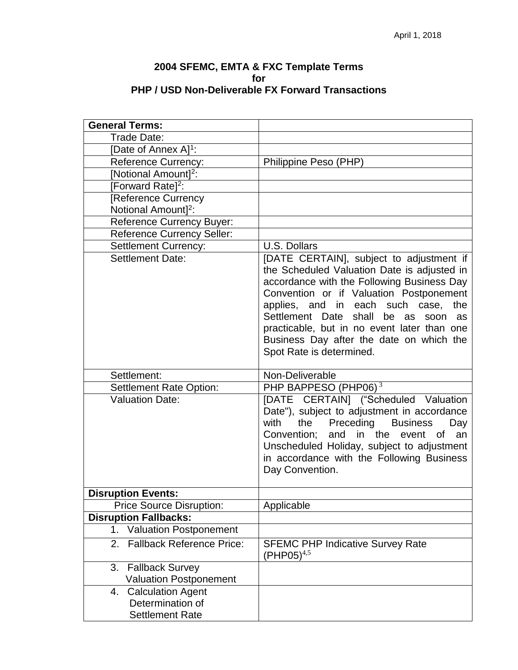## **2004 SFEMC, EMTA & FXC Template Terms for PHP / USD Non-Deliverable FX Forward Transactions**

| <b>General Terms:</b>                  |                                                                                                                                                                                                                                                                                                                                                                                                   |
|----------------------------------------|---------------------------------------------------------------------------------------------------------------------------------------------------------------------------------------------------------------------------------------------------------------------------------------------------------------------------------------------------------------------------------------------------|
| Trade Date:                            |                                                                                                                                                                                                                                                                                                                                                                                                   |
| [Date of Annex A] <sup>1</sup> :       |                                                                                                                                                                                                                                                                                                                                                                                                   |
| <b>Reference Currency:</b>             | Philippine Peso (PHP)                                                                                                                                                                                                                                                                                                                                                                             |
| [Notional Amount] <sup>2</sup> :       |                                                                                                                                                                                                                                                                                                                                                                                                   |
| [Forward Rate] <sup>2</sup> :          |                                                                                                                                                                                                                                                                                                                                                                                                   |
| [Reference Currency                    |                                                                                                                                                                                                                                                                                                                                                                                                   |
| Notional Amount] <sup>2</sup> :        |                                                                                                                                                                                                                                                                                                                                                                                                   |
| <b>Reference Currency Buyer:</b>       |                                                                                                                                                                                                                                                                                                                                                                                                   |
| <b>Reference Currency Seller:</b>      |                                                                                                                                                                                                                                                                                                                                                                                                   |
| <b>Settlement Currency:</b>            | <b>U.S. Dollars</b>                                                                                                                                                                                                                                                                                                                                                                               |
| <b>Settlement Date:</b>                | [DATE CERTAIN], subject to adjustment if<br>the Scheduled Valuation Date is adjusted in<br>accordance with the Following Business Day<br>Convention or if Valuation Postponement<br>applies, and in each such case, the<br>Settlement Date<br>shall<br>be as<br>soon<br>as<br>practicable, but in no event later than one<br>Business Day after the date on which the<br>Spot Rate is determined. |
| Settlement:                            | Non-Deliverable                                                                                                                                                                                                                                                                                                                                                                                   |
| <b>Settlement Rate Option:</b>         | PHP BAPPESO (PHP06) <sup>3</sup>                                                                                                                                                                                                                                                                                                                                                                  |
| <b>Valuation Date:</b>                 | [DATE CERTAIN] ("Scheduled Valuation<br>Date"), subject to adjustment in accordance<br><b>Business</b><br>with<br>Preceding<br>the<br>Day<br>and<br>in the<br>Convention;<br>an<br>event<br>0f<br>Unscheduled Holiday, subject to adjustment<br>in accordance with the Following Business<br>Day Convention.                                                                                      |
| <b>Disruption Events:</b>              |                                                                                                                                                                                                                                                                                                                                                                                                   |
| <b>Price Source Disruption:</b>        | Applicable                                                                                                                                                                                                                                                                                                                                                                                        |
| <b>Disruption Fallbacks:</b>           |                                                                                                                                                                                                                                                                                                                                                                                                   |
| <b>Valuation Postponement</b><br>1.    |                                                                                                                                                                                                                                                                                                                                                                                                   |
| <b>Fallback Reference Price:</b><br>2. | <b>SFEMC PHP Indicative Survey Rate</b><br>$(PHP05)^{4,5}$                                                                                                                                                                                                                                                                                                                                        |
| 3.<br><b>Fallback Survey</b>           |                                                                                                                                                                                                                                                                                                                                                                                                   |
| <b>Valuation Postponement</b>          |                                                                                                                                                                                                                                                                                                                                                                                                   |
| <b>Calculation Agent</b><br>4.         |                                                                                                                                                                                                                                                                                                                                                                                                   |
|                                        |                                                                                                                                                                                                                                                                                                                                                                                                   |
| Determination of                       |                                                                                                                                                                                                                                                                                                                                                                                                   |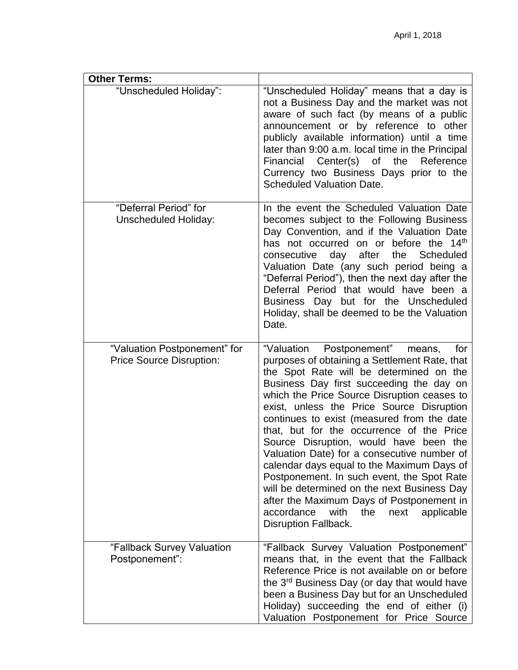| <b>Other Terms:</b>                                             |                                                                                                                                                                                                                                                                                                                                                                                                                                                                                                                                                                                                                                                                                                                                      |
|-----------------------------------------------------------------|--------------------------------------------------------------------------------------------------------------------------------------------------------------------------------------------------------------------------------------------------------------------------------------------------------------------------------------------------------------------------------------------------------------------------------------------------------------------------------------------------------------------------------------------------------------------------------------------------------------------------------------------------------------------------------------------------------------------------------------|
| "Unscheduled Holiday":                                          | "Unscheduled Holiday" means that a day is<br>not a Business Day and the market was not<br>aware of such fact (by means of a public<br>announcement or by reference to other<br>publicly available information) until a time<br>later than 9:00 a.m. local time in the Principal<br>Financial Center(s) of the<br>Reference<br>Currency two Business Days prior to the<br><b>Scheduled Valuation Date.</b>                                                                                                                                                                                                                                                                                                                            |
| "Deferral Period" for<br><b>Unscheduled Holiday:</b>            | In the event the Scheduled Valuation Date<br>becomes subject to the Following Business<br>Day Convention, and if the Valuation Date<br>has not occurred on or before the 14 <sup>th</sup><br>consecutive day after<br>the Scheduled<br>Valuation Date (any such period being a<br>"Deferral Period"), then the next day after the<br>Deferral Period that would have been a<br>Business Day but for the Unscheduled<br>Holiday, shall be deemed to be the Valuation<br>Date.                                                                                                                                                                                                                                                         |
| "Valuation Postponement" for<br><b>Price Source Disruption:</b> | "Valuation Postponement"<br>for<br>means,<br>purposes of obtaining a Settlement Rate, that<br>the Spot Rate will be determined on the<br>Business Day first succeeding the day on<br>which the Price Source Disruption ceases to<br>exist, unless the Price Source Disruption<br>continues to exist (measured from the date<br>that, but for the occurrence of the Price<br>Source Disruption, would have been the<br>Valuation Date) for a consecutive number of<br>calendar days equal to the Maximum Days of<br>Postponement. In such event, the Spot Rate<br>will be determined on the next Business Day<br>after the Maximum Days of Postponement in<br>accordance<br>with<br>the<br>next<br>applicable<br>Disruption Fallback. |
| "Fallback Survey Valuation<br>Postponement":                    | "Fallback Survey Valuation Postponement"<br>means that, in the event that the Fallback<br>Reference Price is not available on or before<br>the 3 <sup>rd</sup> Business Day (or day that would have<br>been a Business Day but for an Unscheduled<br>Holiday) succeeding the end of either (i)<br>Valuation Postponement for Price Source                                                                                                                                                                                                                                                                                                                                                                                            |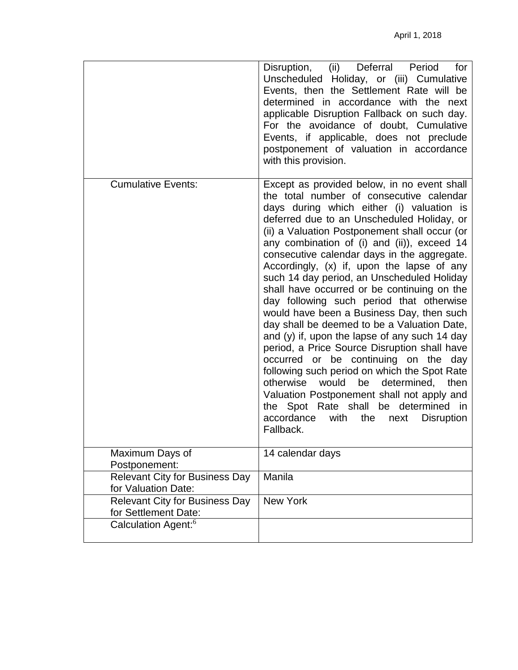|                                                               | Disruption, (ii) Deferral Period<br>for<br>Unscheduled Holiday, or (iii) Cumulative<br>Events, then the Settlement Rate will be<br>determined in accordance with the next<br>applicable Disruption Fallback on such day.<br>For the avoidance of doubt, Cumulative<br>Events, if applicable, does not preclude<br>postponement of valuation in accordance<br>with this provision.                                                                                                                                                                                                                                                                                                                                                                                                                                                                                                                                                                                                                                             |
|---------------------------------------------------------------|-------------------------------------------------------------------------------------------------------------------------------------------------------------------------------------------------------------------------------------------------------------------------------------------------------------------------------------------------------------------------------------------------------------------------------------------------------------------------------------------------------------------------------------------------------------------------------------------------------------------------------------------------------------------------------------------------------------------------------------------------------------------------------------------------------------------------------------------------------------------------------------------------------------------------------------------------------------------------------------------------------------------------------|
| <b>Cumulative Events:</b>                                     | Except as provided below, in no event shall<br>the total number of consecutive calendar<br>days during which either (i) valuation is<br>deferred due to an Unscheduled Holiday, or<br>(ii) a Valuation Postponement shall occur (or<br>any combination of (i) and (ii)), exceed 14<br>consecutive calendar days in the aggregate.<br>Accordingly, (x) if, upon the lapse of any<br>such 14 day period, an Unscheduled Holiday<br>shall have occurred or be continuing on the<br>day following such period that otherwise<br>would have been a Business Day, then such<br>day shall be deemed to be a Valuation Date,<br>and (y) if, upon the lapse of any such 14 day<br>period, a Price Source Disruption shall have<br>occurred or be continuing on the<br>day<br>following such period on which the Spot Rate<br>be<br>otherwise would<br>determined,<br>then<br>Valuation Postponement shall not apply and<br>the Spot Rate shall be determined in<br>the<br>accordance<br>with<br><b>Disruption</b><br>next<br>Fallback. |
| Maximum Days of<br>Postponement:                              | 14 calendar days                                                                                                                                                                                                                                                                                                                                                                                                                                                                                                                                                                                                                                                                                                                                                                                                                                                                                                                                                                                                              |
| <b>Relevant City for Business Day</b><br>for Valuation Date:  | Manila                                                                                                                                                                                                                                                                                                                                                                                                                                                                                                                                                                                                                                                                                                                                                                                                                                                                                                                                                                                                                        |
| <b>Relevant City for Business Day</b><br>for Settlement Date: | <b>New York</b>                                                                                                                                                                                                                                                                                                                                                                                                                                                                                                                                                                                                                                                                                                                                                                                                                                                                                                                                                                                                               |
| Calculation Agent: <sup>6</sup>                               |                                                                                                                                                                                                                                                                                                                                                                                                                                                                                                                                                                                                                                                                                                                                                                                                                                                                                                                                                                                                                               |